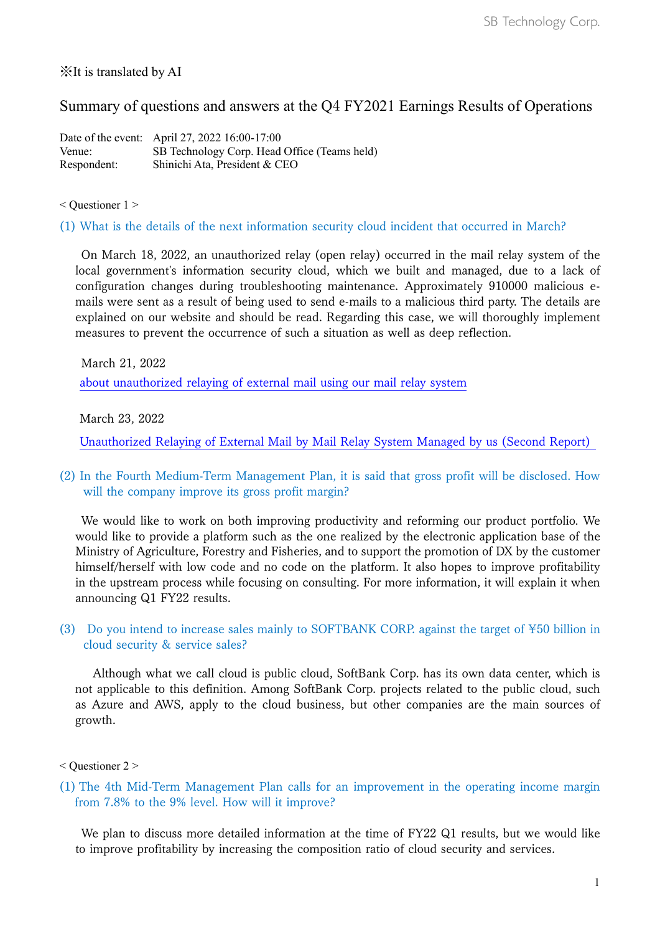## ※It is translated by AI

# Summary of questions and answers at the Q4 FY2021 Earnings Results of Operations

Date of the event: April 27, 2022 16:00-17:00 Venue: SB Technology Corp. Head Office (Teams held) Respondent: Shinichi Ata, President & CEO

< Questioner 1 >

#### (1) What is the details of the next information security cloud incident that occurred in March?

On March 18, 2022, an unauthorized relay (open relay) occurred in the mail relay system of the local government's information security cloud, which we built and managed, due to a lack of configuration changes during troubleshooting maintenance. Approximately 910000 malicious emails were sent as a result of being used to send e-mails to a malicious third party. The details are explained on our website and should be read. Regarding this case, we will thoroughly implement measures to prevent the occurrence of such a situation as well as deep reflection.

March 21, 2022 [about unauthorized relaying of external mail using our mail relay system](https://www.softbanktech.co.jp/news/topics/info/2022/006/)

March 23, 2022

[Unauthorized Relaying of External Mail by Mail Relay System Managed by us \(Second Report\)](https://www.softbanktech.co.jp/news/topics/info/2022/007/) 

### (2) In the Fourth Medium-Term Management Plan, it is said that gross profit will be disclosed. How will the company improve its gross profit margin?

We would like to work on both improving productivity and reforming our product portfolio. We would like to provide a platform such as the one realized by the electronic application base of the Ministry of Agriculture, Forestry and Fisheries, and to support the promotion of DX by the customer himself/herself with low code and no code on the platform. It also hopes to improve profitability in the upstream process while focusing on consulting. For more information, it will explain it when announcing Q1 FY22 results.

### (3) Do you intend to increase sales mainly to SOFTBANK CORP. against the target of ¥50 billion in cloud security & service sales?

Although what we call cloud is public cloud, SoftBank Corp. has its own data center, which is not applicable to this definition. Among SoftBank Corp. projects related to the public cloud, such as Azure and AWS, apply to the cloud business, but other companies are the main sources of growth.

#### < Questioner 2 >

(1) The 4th Mid-Term Management Plan calls for an improvement in the operating income margin from 7.8% to the 9% level. How will it improve?

We plan to discuss more detailed information at the time of FY22 Q1 results, but we would like to improve profitability by increasing the composition ratio of cloud security and services.